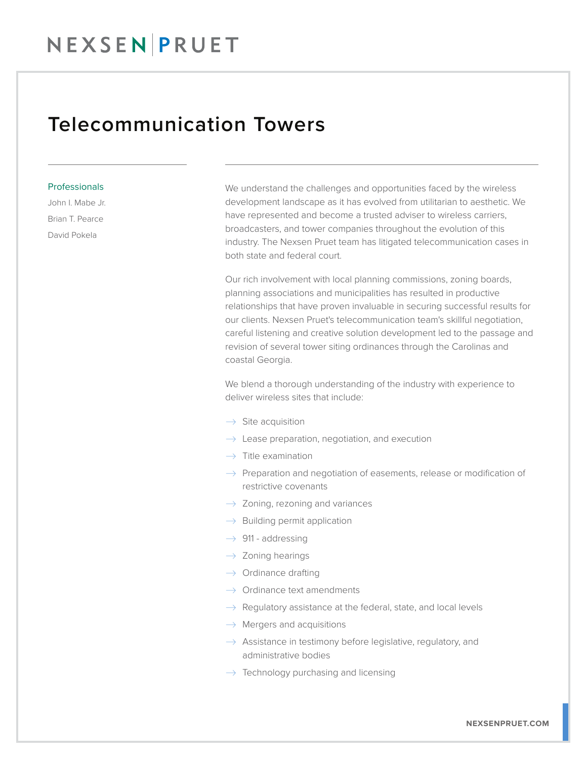## Telecommunication Towers

## Professionals

John I. Mabe Jr. Brian T. Pearce David Pokela

We understand the challenges and opportunities faced by the wireless development landscape as it has evolved from utilitarian to aesthetic. We have represented and become a trusted adviser to wireless carriers, broadcasters, and tower companies throughout the evolution of this industry. The Nexsen Pruet team has litigated telecommunication cases in both state and federal court.

Our rich involvement with local planning commissions, zoning boards, planning associations and municipalities has resulted in productive relationships that have proven invaluable in securing successful results for our clients. Nexsen Pruet's telecommunication team's skillful negotiation, careful listening and creative solution development led to the passage and revision of several tower siting ordinances through the Carolinas and coastal Georgia.

We blend a thorough understanding of the industry with experience to deliver wireless sites that include:

- $\rightarrow$  Site acquisition
- $\rightarrow$  Lease preparation, negotiation, and execution
- $\rightarrow$  Title examination
- $\rightarrow$  Preparation and negotiation of easements, release or modification of restrictive covenants
- $\rightarrow$  Zoning, rezoning and variances
- $\rightarrow$  Building permit application
- $\rightarrow$  911 addressing
- $\rightarrow$  Zoning hearings
- $\rightarrow$  Ordinance drafting
- $\rightarrow$  Ordinance text amendments
- $\rightarrow$  Regulatory assistance at the federal, state, and local levels
- $\rightarrow$  Mergers and acquisitions
- $\rightarrow$  Assistance in testimony before legislative, regulatory, and administrative bodies
- $\rightarrow$  Technology purchasing and licensing